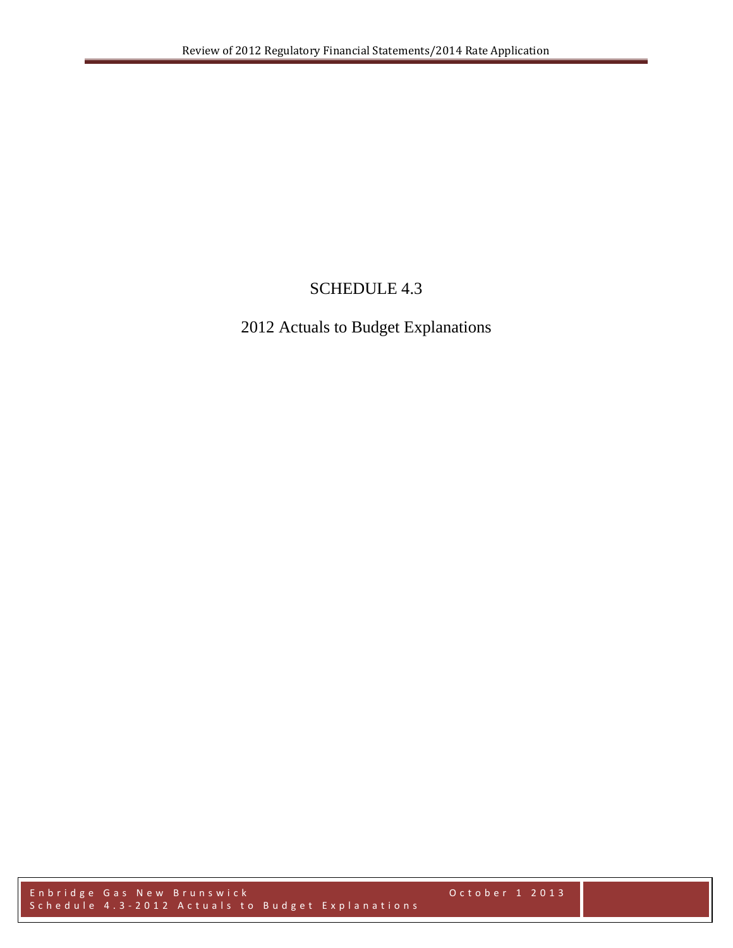# SCHEDULE 4.3

# 2012 Actuals to Budget Explanations

Enbridge Gas New Brunswick October 1 2013 Schedule 4.3 - 2012 Actuals to Budget Explanations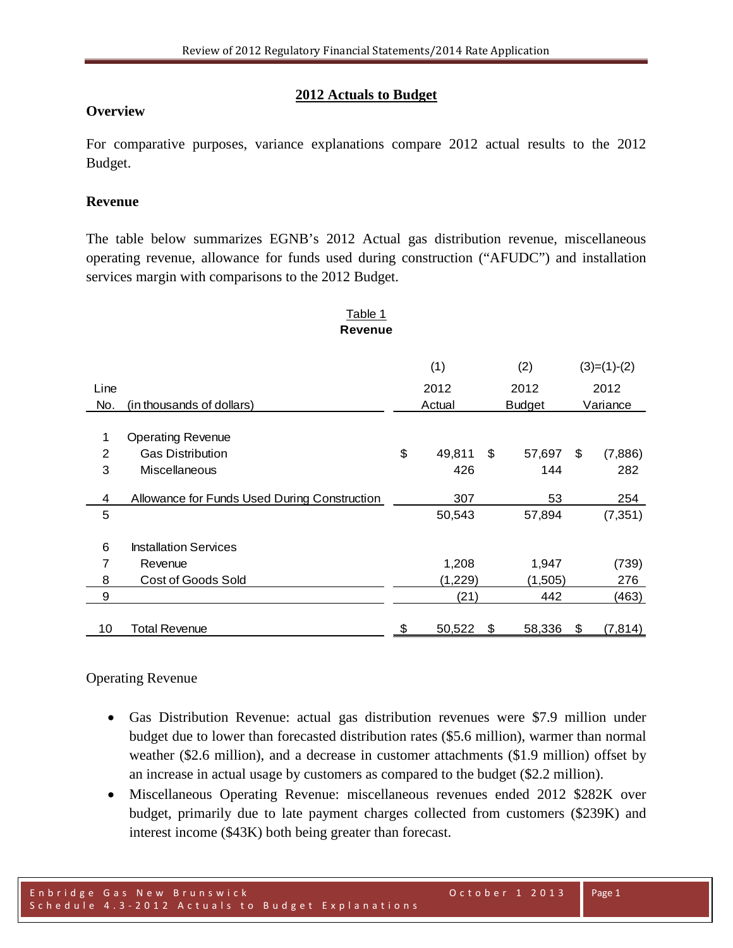## **2012 Actuals to Budget**

## **Overview**

For comparative purposes, variance explanations compare 2012 actual results to the 2012 Budget.

## **Revenue**

The table below summarizes EGNB's 2012 Actual gas distribution revenue, miscellaneous operating revenue, allowance for funds used during construction ("AFUDC") and installation services margin with comparisons to the 2012 Budget.

| Table 1        |                                              |    |         |    |               |    |               |
|----------------|----------------------------------------------|----|---------|----|---------------|----|---------------|
|                | <b>Revenue</b>                               |    |         |    |               |    |               |
|                |                                              |    |         |    |               |    |               |
|                |                                              |    | (1)     |    | (2)           |    | $(3)=(1)-(2)$ |
| Line           |                                              |    | 2012    |    | 2012          |    | 2012          |
| No.            | (in thousands of dollars)                    |    | Actual  |    | <b>Budget</b> |    | Variance      |
|                |                                              |    |         |    |               |    |               |
| 1              | <b>Operating Revenue</b>                     |    |         |    |               |    |               |
| $\overline{2}$ | <b>Gas Distribution</b>                      | \$ | 49,811  | \$ | 57,697        | \$ | (7,886)       |
| 3              | <b>Miscellaneous</b>                         |    | 426     |    | 144           |    | 282           |
|                |                                              |    |         |    |               |    |               |
| 4              | Allowance for Funds Used During Construction |    | 307     |    | 53            |    | 254           |
| 5              |                                              |    | 50,543  |    | 57,894        |    | (7, 351)      |
|                |                                              |    |         |    |               |    |               |
| 6              | <b>Installation Services</b>                 |    |         |    |               |    |               |
| 7              | Revenue                                      |    | 1,208   |    | 1,947         |    | (739)         |
| 8              | Cost of Goods Sold                           |    | (1,229) |    | (1,505)       |    | 276           |
| 9              |                                              |    | (21)    |    | 442           |    | (463)         |
|                |                                              |    |         |    |               |    |               |
| 10             | <b>Total Revenue</b>                         | \$ | 50,522  | \$ | 58,336        | \$ | (7, 814)      |

## Operating Revenue

- Gas Distribution Revenue: actual gas distribution revenues were \$7.9 million under budget due to lower than forecasted distribution rates (\$5.6 million), warmer than normal weather (\$2.6 million), and a decrease in customer attachments (\$1.9 million) offset by an increase in actual usage by customers as compared to the budget (\$2.2 million).
- Miscellaneous Operating Revenue: miscellaneous revenues ended 2012 \$282K over budget, primarily due to late payment charges collected from customers (\$239K) and interest income (\$43K) both being greater than forecast.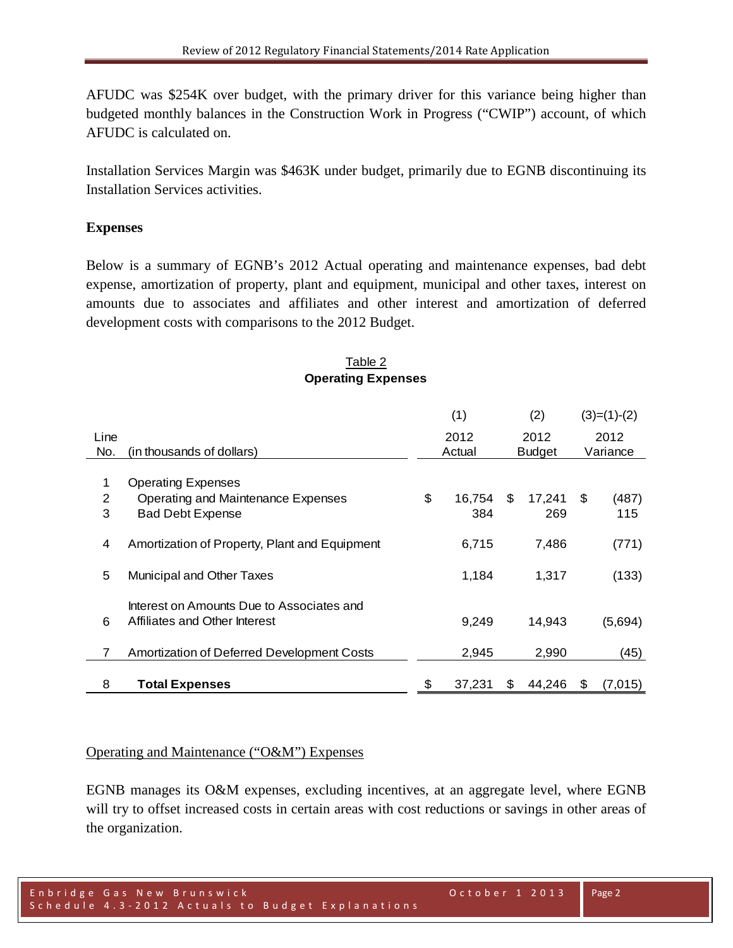AFUDC was \$254K over budget, with the primary driver for this variance being higher than budgeted monthly balances in the Construction Work in Progress ("CWIP") account, of which AFUDC is calculated on.

Installation Services Margin was \$463K under budget, primarily due to EGNB discontinuing its Installation Services activities.

## **Expenses**

Below is a summary of EGNB's 2012 Actual operating and maintenance expenses, bad debt expense, amortization of property, plant and equipment, municipal and other taxes, interest on amounts due to associates and affiliates and other interest and amortization of deferred development costs with comparisons to the 2012 Budget.

#### Table 2 **Operating Expenses**

|      |                                               | (1)          |    | (2)           |      | $(3)=(1)-(2)$ |
|------|-----------------------------------------------|--------------|----|---------------|------|---------------|
| Line |                                               | 2012         |    | 2012          |      | 2012          |
| No.  | (in thousands of dollars)                     | Actual       |    | <b>Budget</b> |      | Variance      |
|      |                                               |              |    |               |      |               |
| 1    | <b>Operating Expenses</b>                     |              |    |               |      |               |
| 2    | Operating and Maintenance Expenses            | \$<br>16.754 | \$ | 17.241        | - \$ | (487)         |
| 3    | <b>Bad Debt Expense</b>                       | 384          |    | 269           |      | 115           |
|      |                                               |              |    |               |      |               |
| 4    | Amortization of Property, Plant and Equipment | 6,715        |    | 7,486         |      | (771)         |
|      |                                               |              |    |               |      |               |
| 5    | Municipal and Other Taxes                     | 1,184        |    | 1,317         |      | (133)         |
|      |                                               |              |    |               |      |               |
|      | Interest on Amounts Due to Associates and     |              |    |               |      |               |
| 6    | Affiliates and Other Interest                 | 9,249        |    | 14,943        |      | (5,694)       |
|      |                                               |              |    |               |      |               |
| 7    | Amortization of Deferred Development Costs    | 2,945        |    | 2,990         |      | (45)          |
|      |                                               |              |    |               |      |               |
| 8    | <b>Total Expenses</b>                         | \$<br>37,231 | S  | 44,246        | \$   | (7,015)       |

## Operating and Maintenance ("O&M") Expenses

EGNB manages its O&M expenses, excluding incentives, at an aggregate level, where EGNB will try to offset increased costs in certain areas with cost reductions or savings in other areas of the organization.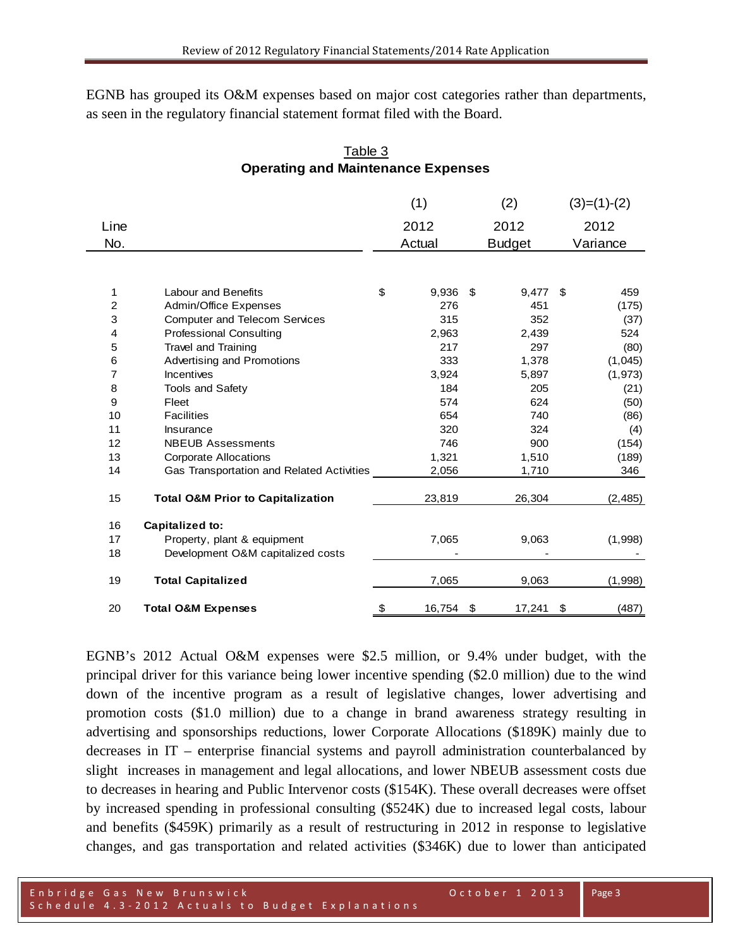EGNB has grouped its O&M expenses based on major cost categories rather than departments, as seen in the regulatory financial statement format filed with the Board.

## Table 3 **Operating and Maintenance Expenses**

|      |                                              | (1)          | (2)           |     | $(3)=(1)-(2)$ |
|------|----------------------------------------------|--------------|---------------|-----|---------------|
| Line |                                              | 2012         | 2012          |     | 2012          |
| No.  |                                              | Actual       | <b>Budget</b> |     | Variance      |
|      |                                              |              |               |     |               |
| 1    | <b>Labour and Benefits</b>                   | \$<br>9,936  | \$<br>9,477   | -\$ | 459           |
| 2    | Admin/Office Expenses                        | 276          | 451           |     | (175)         |
| 3    | <b>Computer and Telecom Services</b>         | 315          | 352           |     | (37)          |
| 4    | <b>Professional Consulting</b>               | 2,963        | 2,439         |     | 524           |
| 5    | Travel and Training                          | 217          | 297           |     | (80)          |
| 6    | Advertising and Promotions                   | 333          | 1,378         |     | (1,045)       |
| 7    | Incentives                                   | 3,924        | 5,897         |     | (1, 973)      |
| 8    | <b>Tools and Safety</b>                      | 184          | 205           |     | (21)          |
| 9    | Fleet                                        | 574          | 624           |     | (50)          |
| 10   | <b>Facilities</b>                            | 654          | 740           |     | (86)          |
| 11   | Insurance                                    | 320          | 324           |     | (4)           |
| 12   | <b>NBEUB Assessments</b>                     | 746          | 900           |     | (154)         |
| 13   | <b>Corporate Allocations</b>                 | 1,321        | 1,510         |     | (189)         |
| 14   | Gas Transportation and Related Activities    | 2,056        | 1,710         |     | 346           |
| 15   | <b>Total O&amp;M Prior to Capitalization</b> | 23,819       | 26,304        |     | (2, 485)      |
| 16   | Capitalized to:                              |              |               |     |               |
| 17   | Property, plant & equipment                  | 7,065        | 9,063         |     | (1,998)       |
| 18   | Development O&M capitalized costs            |              |               |     |               |
| 19   | <b>Total Capitalized</b>                     | 7,065        | 9,063         |     | (1,998)       |
| 20   | <b>Total O&amp;M Expenses</b>                | \$<br>16,754 | \$<br>17,241  | \$  | (487)         |

EGNB's 2012 Actual O&M expenses were \$2.5 million, or 9.4% under budget, with the principal driver for this variance being lower incentive spending (\$2.0 million) due to the wind down of the incentive program as a result of legislative changes, lower advertising and promotion costs (\$1.0 million) due to a change in brand awareness strategy resulting in advertising and sponsorships reductions, lower Corporate Allocations (\$189K) mainly due to decreases in IT – enterprise financial systems and payroll administration counterbalanced by slight increases in management and legal allocations, and lower NBEUB assessment costs due to decreases in hearing and Public Intervenor costs (\$154K). These overall decreases were offset by increased spending in professional consulting (\$524K) due to increased legal costs, labour and benefits (\$459K) primarily as a result of restructuring in 2012 in response to legislative changes, and gas transportation and related activities (\$346K) due to lower than anticipated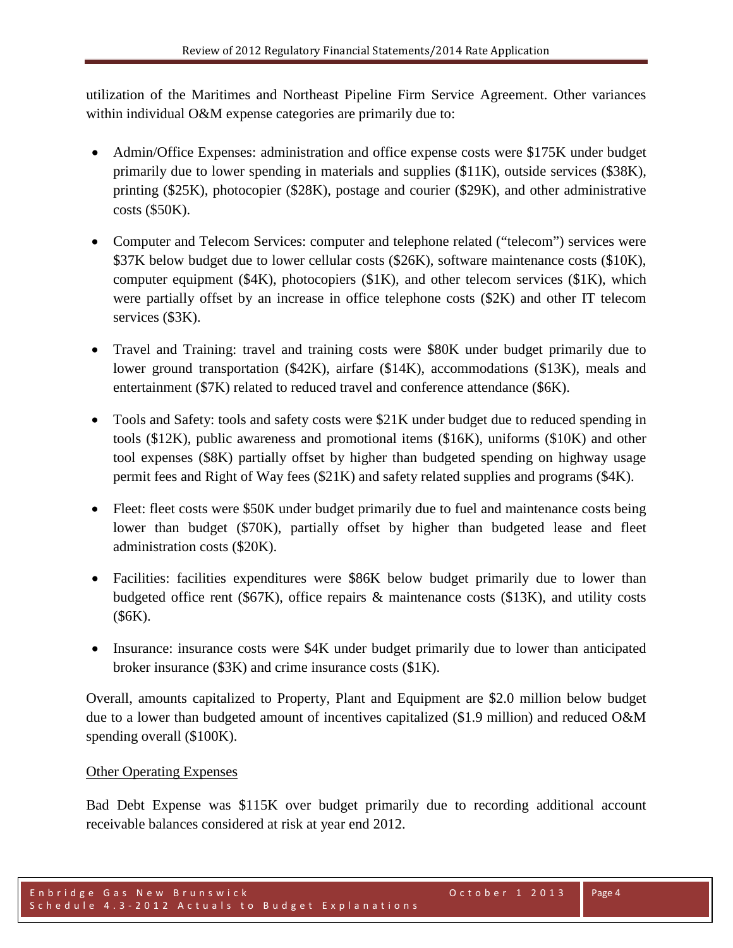utilization of the Maritimes and Northeast Pipeline Firm Service Agreement. Other variances within individual O&M expense categories are primarily due to:

- Admin/Office Expenses: administration and office expense costs were \$175K under budget primarily due to lower spending in materials and supplies (\$11K), outside services (\$38K), printing (\$25K), photocopier (\$28K), postage and courier (\$29K), and other administrative costs (\$50K).
- Computer and Telecom Services: computer and telephone related ("telecom") services were \$37K below budget due to lower cellular costs (\$26K), software maintenance costs (\$10K), computer equipment  $(\$4K)$ , photocopiers  $(\$1K)$ , and other telecom services  $(\$1K)$ , which were partially offset by an increase in office telephone costs (\$2K) and other IT telecom services (\$3K).
- Travel and Training: travel and training costs were \$80K under budget primarily due to lower ground transportation (\$42K), airfare (\$14K), accommodations (\$13K), meals and entertainment (\$7K) related to reduced travel and conference attendance (\$6K).
- Tools and Safety: tools and safety costs were \$21K under budget due to reduced spending in tools (\$12K), public awareness and promotional items (\$16K), uniforms (\$10K) and other tool expenses (\$8K) partially offset by higher than budgeted spending on highway usage permit fees and Right of Way fees (\$21K) and safety related supplies and programs (\$4K).
- Fleet: fleet costs were \$50K under budget primarily due to fuel and maintenance costs being lower than budget (\$70K), partially offset by higher than budgeted lease and fleet administration costs (\$20K).
- Facilities: facilities expenditures were \$86K below budget primarily due to lower than budgeted office rent (\$67K), office repairs & maintenance costs (\$13K), and utility costs (\$6K).
- Insurance: insurance costs were \$4K under budget primarily due to lower than anticipated broker insurance (\$3K) and crime insurance costs (\$1K).

Overall, amounts capitalized to Property, Plant and Equipment are \$2.0 million below budget due to a lower than budgeted amount of incentives capitalized (\$1.9 million) and reduced O&M spending overall (\$100K).

## Other Operating Expenses

Bad Debt Expense was \$115K over budget primarily due to recording additional account receivable balances considered at risk at year end 2012.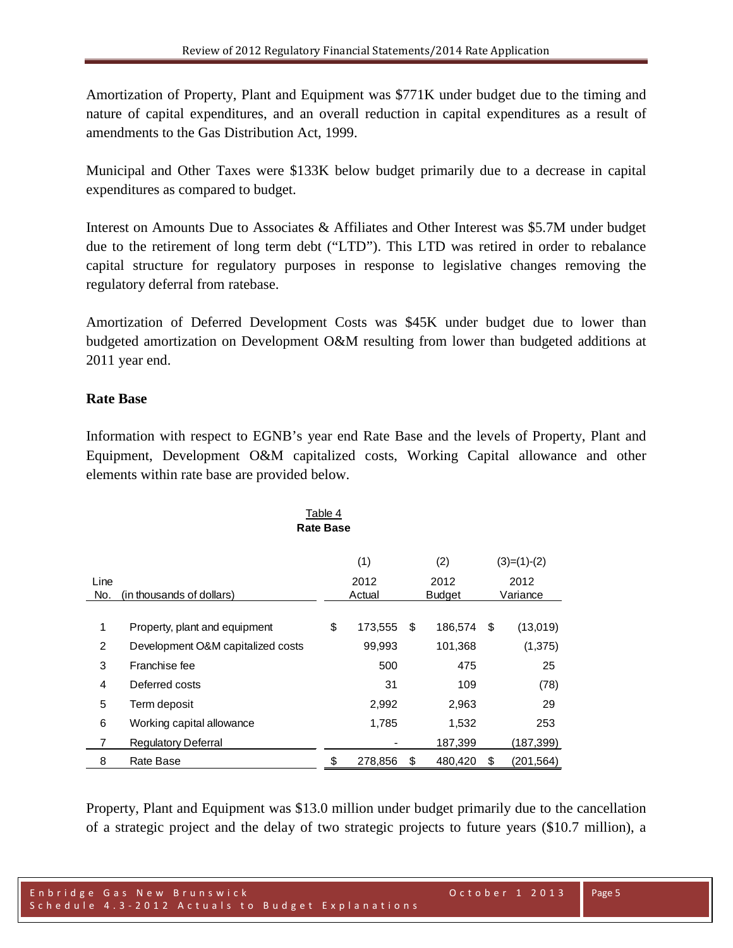Amortization of Property, Plant and Equipment was \$771K under budget due to the timing and nature of capital expenditures, and an overall reduction in capital expenditures as a result of amendments to the Gas Distribution Act, 1999.

Municipal and Other Taxes were \$133K below budget primarily due to a decrease in capital expenditures as compared to budget.

Interest on Amounts Due to Associates & Affiliates and Other Interest was \$5.7M under budget due to the retirement of long term debt ("LTD"). This LTD was retired in order to rebalance capital structure for regulatory purposes in response to legislative changes removing the regulatory deferral from ratebase.

Amortization of Deferred Development Costs was \$45K under budget due to lower than budgeted amortization on Development O&M resulting from lower than budgeted additions at 2011 year end.

## **Rate Base**

Information with respect to EGNB's year end Rate Base and the levels of Property, Plant and Equipment, Development O&M capitalized costs, Working Capital allowance and other elements within rate base are provided below.

| Table 4<br><b>Rate Base</b> |                                             |    |         |                       |         |    |                  |  |  |
|-----------------------------|---------------------------------------------|----|---------|-----------------------|---------|----|------------------|--|--|
| (1)<br>(2)<br>$(3)=(1)-(2)$ |                                             |    |         |                       |         |    |                  |  |  |
| Line<br>No.                 | 2012<br>(in thousands of dollars)<br>Actual |    |         | 2012<br><b>Budget</b> |         |    | 2012<br>Variance |  |  |
|                             |                                             |    |         |                       |         |    |                  |  |  |
| $\mathbf 1$                 | Property, plant and equipment               | \$ | 173,555 | \$                    | 186,574 | \$ | (13,019)         |  |  |
| $\overline{2}$              | Development O&M capitalized costs           |    | 99,993  |                       | 101,368 |    | (1,375)          |  |  |
| 3                           | Franchise fee                               |    | 500     |                       | 475     |    | 25               |  |  |
| 4                           | Deferred costs                              |    | 31      |                       | 109     |    | (78)             |  |  |
| 5                           | Term deposit                                |    | 2,992   |                       | 2,963   |    | 29               |  |  |
| 6                           | Working capital allowance                   |    | 1,785   |                       | 1,532   |    | 253              |  |  |
| 7                           | <b>Regulatory Deferral</b>                  |    |         |                       | 187,399 |    | (187,399)        |  |  |
| 8                           | Rate Base                                   | S  | 278,856 | S                     | 480,420 | S  | (201,564)        |  |  |

Property, Plant and Equipment was \$13.0 million under budget primarily due to the cancellation of a strategic project and the delay of two strategic projects to future years (\$10.7 million), a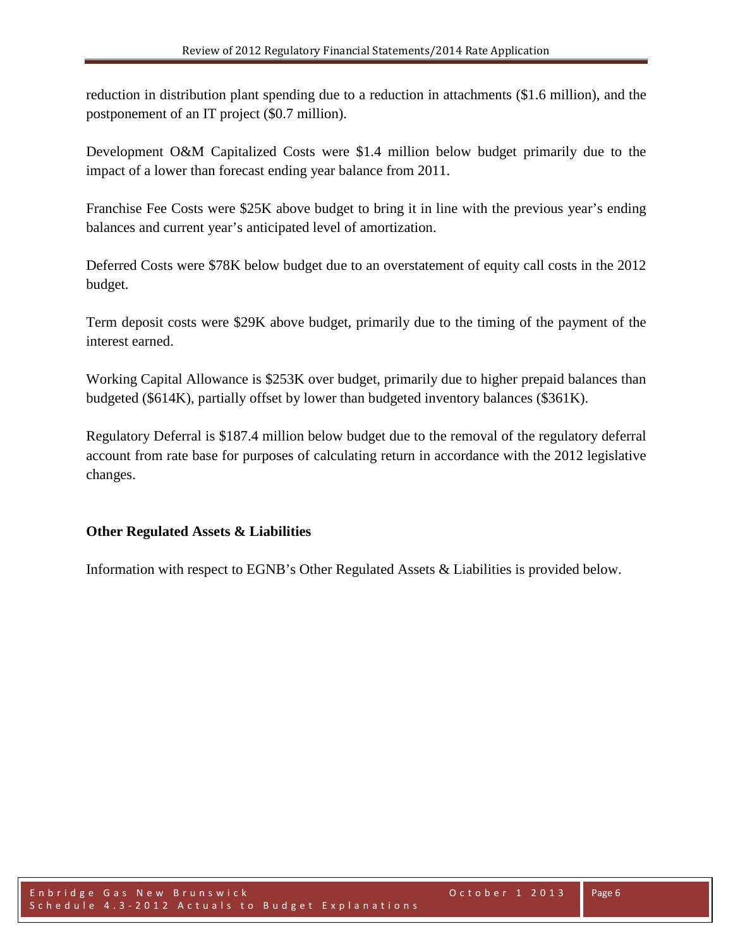reduction in distribution plant spending due to a reduction in attachments (\$1.6 million), and the postponement of an IT project (\$0.7 million).

Development O&M Capitalized Costs were \$1.4 million below budget primarily due to the impact of a lower than forecast ending year balance from 2011.

Franchise Fee Costs were \$25K above budget to bring it in line with the previous year's ending balances and current year's anticipated level of amortization.

Deferred Costs were \$78K below budget due to an overstatement of equity call costs in the 2012 budget.

Term deposit costs were \$29K above budget, primarily due to the timing of the payment of the interest earned.

Working Capital Allowance is \$253K over budget, primarily due to higher prepaid balances than budgeted (\$614K), partially offset by lower than budgeted inventory balances (\$361K).

Regulatory Deferral is \$187.4 million below budget due to the removal of the regulatory deferral account from rate base for purposes of calculating return in accordance with the 2012 legislative changes.

## **Other Regulated Assets & Liabilities**

Information with respect to EGNB's Other Regulated Assets & Liabilities is provided below.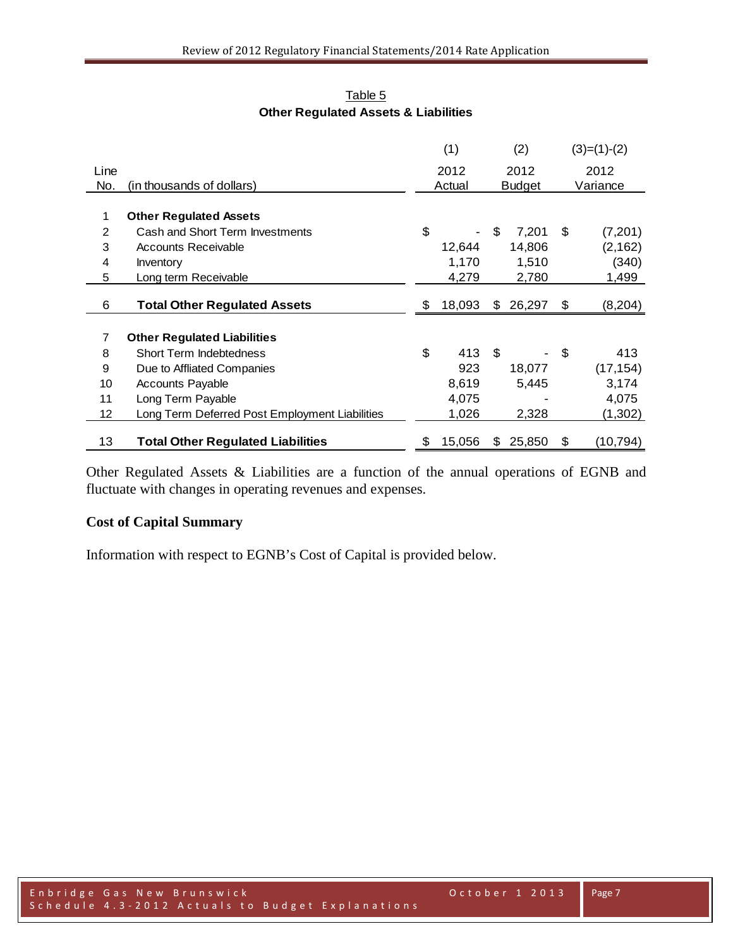|      |                                                | (1)          |    | (2)           | $(3)=(1)-(2)$   |
|------|------------------------------------------------|--------------|----|---------------|-----------------|
| Line |                                                | 2012         |    | 2012          | 2012            |
| No.  | (in thousands of dollars)                      | Actual       |    | <b>Budget</b> | Variance        |
|      |                                                |              |    |               |                 |
| 1    | <b>Other Regulated Assets</b>                  |              |    |               |                 |
| 2    | Cash and Short Term Investments                | \$           | \$ | 7,201         | \$<br>(7,201)   |
| 3    | <b>Accounts Receivable</b>                     | 12,644       |    | 14,806        | (2, 162)        |
| 4    | Inventory                                      | 1,170        |    | 1,510         | (340)           |
| 5    | Long term Receivable                           | 4,279        |    | 2,780         | 1,499           |
|      |                                                |              |    |               |                 |
| 6    | <b>Total Other Regulated Assets</b>            | \$<br>18,093 | \$ | 26,297        | \$<br>(8, 204)  |
|      |                                                |              |    |               |                 |
| 7    | <b>Other Regulated Liabilities</b>             |              |    |               |                 |
| 8    | Short Term Indebtedness                        | \$<br>413    | \$ |               | \$<br>413       |
| 9    | Due to Affliated Companies                     | 923          |    | 18,077        | (17, 154)       |
| 10   | <b>Accounts Payable</b>                        | 8,619        |    | 5,445         | 3,174           |
| 11   | Long Term Payable                              | 4,075        |    |               | 4,075           |
| 12   | Long Term Deferred Post Employment Liabilities | 1,026        |    | 2,328         | (1,302)         |
|      |                                                |              |    |               |                 |
| 13   | <b>Total Other Regulated Liabilities</b>       | \$<br>15,056 | S  | 25,850        | \$<br>(10, 794) |

Table 5 **Other Regulated Assets & Liabilities**

Other Regulated Assets & Liabilities are a function of the annual operations of EGNB and fluctuate with changes in operating revenues and expenses.

## **Cost of Capital Summary**

Information with respect to EGNB's Cost of Capital is provided below.